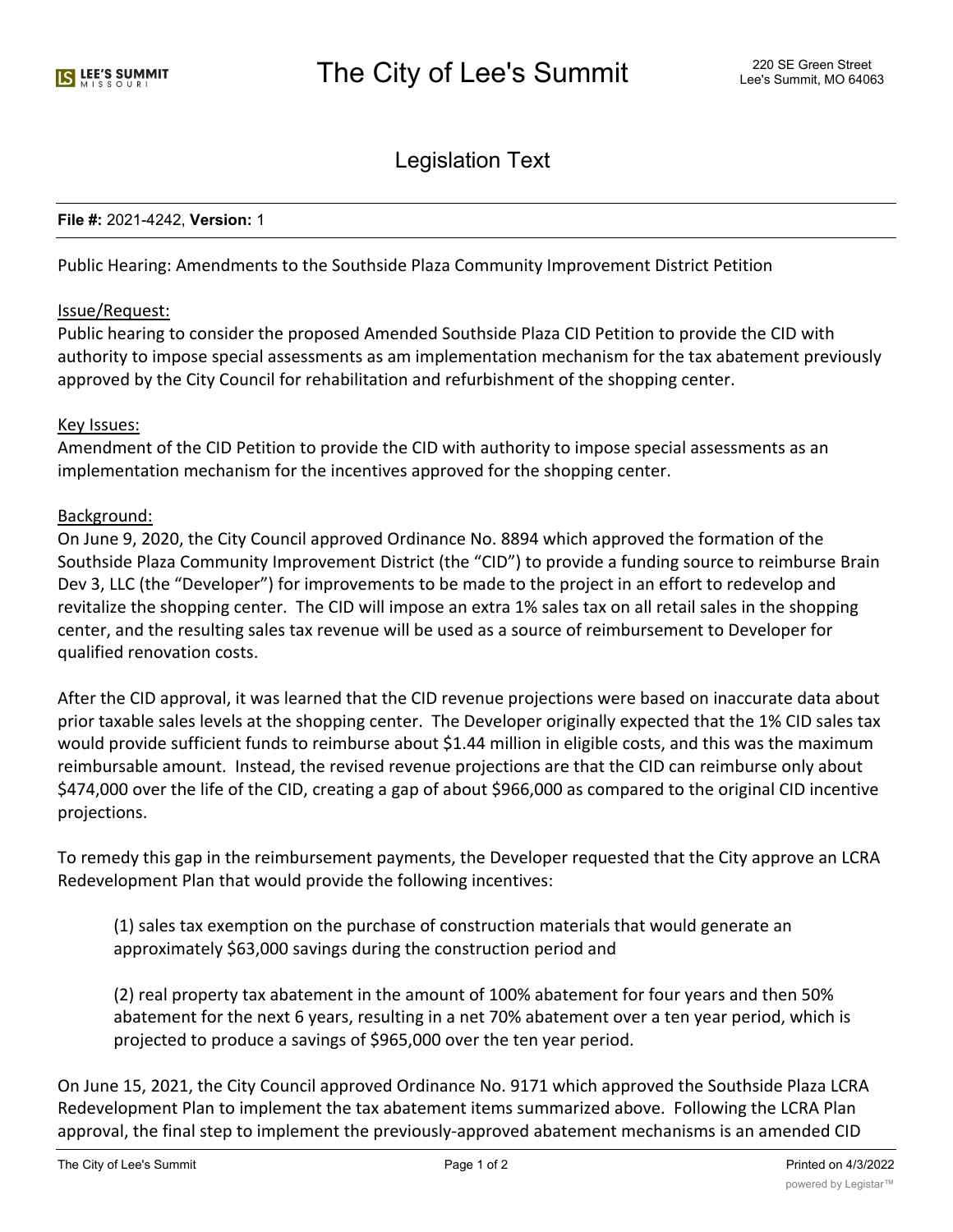Legislation Text

### **File #:** 2021-4242, **Version:** 1

Public Hearing: Amendments to the Southside Plaza Community Improvement District Petition

## Issue/Request:

Public hearing to consider the proposed Amended Southside Plaza CID Petition to provide the CID with authority to impose special assessments as am implementation mechanism for the tax abatement previously approved by the City Council for rehabilitation and refurbishment of the shopping center.

### Key Issues:

Amendment of the CID Petition to provide the CID with authority to impose special assessments as an implementation mechanism for the incentives approved for the shopping center.

### Background:

On June 9, 2020, the City Council approved Ordinance No. 8894 which approved the formation of the Southside Plaza Community Improvement District (the "CID") to provide a funding source to reimburse Brain Dev 3, LLC (the "Developer") for improvements to be made to the project in an effort to redevelop and revitalize the shopping center. The CID will impose an extra 1% sales tax on all retail sales in the shopping center, and the resulting sales tax revenue will be used as a source of reimbursement to Developer for qualified renovation costs.

After the CID approval, it was learned that the CID revenue projections were based on inaccurate data about prior taxable sales levels at the shopping center. The Developer originally expected that the 1% CID sales tax would provide sufficient funds to reimburse about \$1.44 million in eligible costs, and this was the maximum reimbursable amount. Instead, the revised revenue projections are that the CID can reimburse only about \$474,000 over the life of the CID, creating a gap of about \$966,000 as compared to the original CID incentive projections.

To remedy this gap in the reimbursement payments, the Developer requested that the City approve an LCRA Redevelopment Plan that would provide the following incentives:

(1) sales tax exemption on the purchase of construction materials that would generate an approximately \$63,000 savings during the construction period and

(2) real property tax abatement in the amount of 100% abatement for four years and then 50% abatement for the next 6 years, resulting in a net 70% abatement over a ten year period, which is projected to produce a savings of \$965,000 over the ten year period.

On June 15, 2021, the City Council approved Ordinance No. 9171 which approved the Southside Plaza LCRA Redevelopment Plan to implement the tax abatement items summarized above. Following the LCRA Plan approval, the final step to implement the previously-approved abatement mechanisms is an amended CID